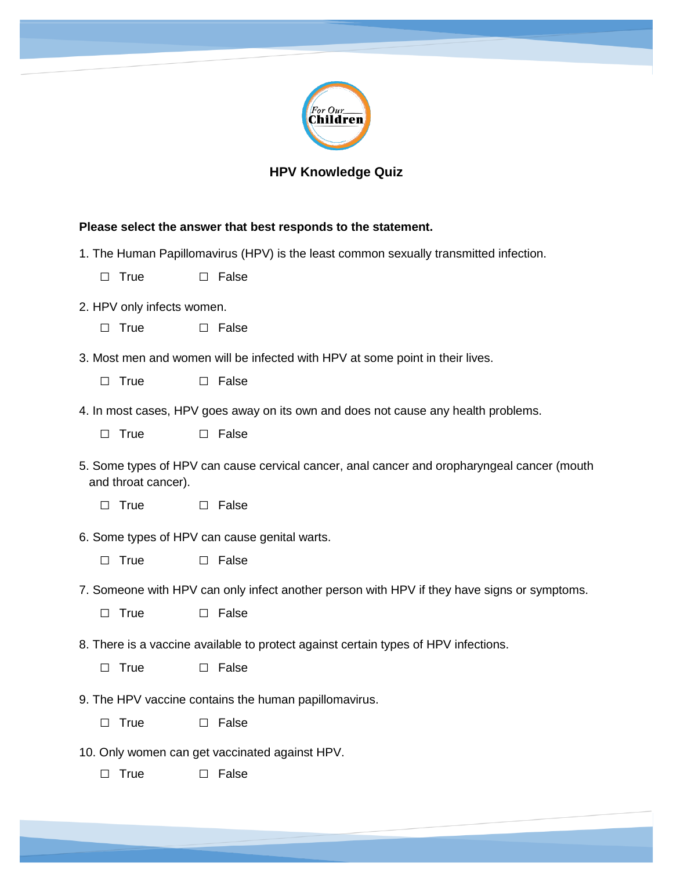

## **HPV Knowledge Quiz**

## **Please select the answer that best responds to the statement.**

- 1. The Human Papillomavirus (HPV) is the least common sexually transmitted infection.
	- □ True □ False
- 2. HPV only infects women.
	- □ True □ False
- 3. Most men and women will be infected with HPV at some point in their lives.
	- □ True □ False
- 4. In most cases, HPV goes away on its own and does not cause any health problems.
	- □ True □ False
- 5. Some types of HPV can cause cervical cancer, anal cancer and oropharyngeal cancer (mouth and throat cancer).
	- □ True □ False
- 6. Some types of HPV can cause genital warts.
	- □ True □ False
- 7. Someone with HPV can only infect another person with HPV if they have signs or symptoms.
	- □ True □ False
- 8. There is a vaccine available to protect against certain types of HPV infections.
	- □ True □ False
- 9. The HPV vaccine contains the human papillomavirus.
	- □ True □ False
- 10. Only women can get vaccinated against HPV.
	- □ True □ False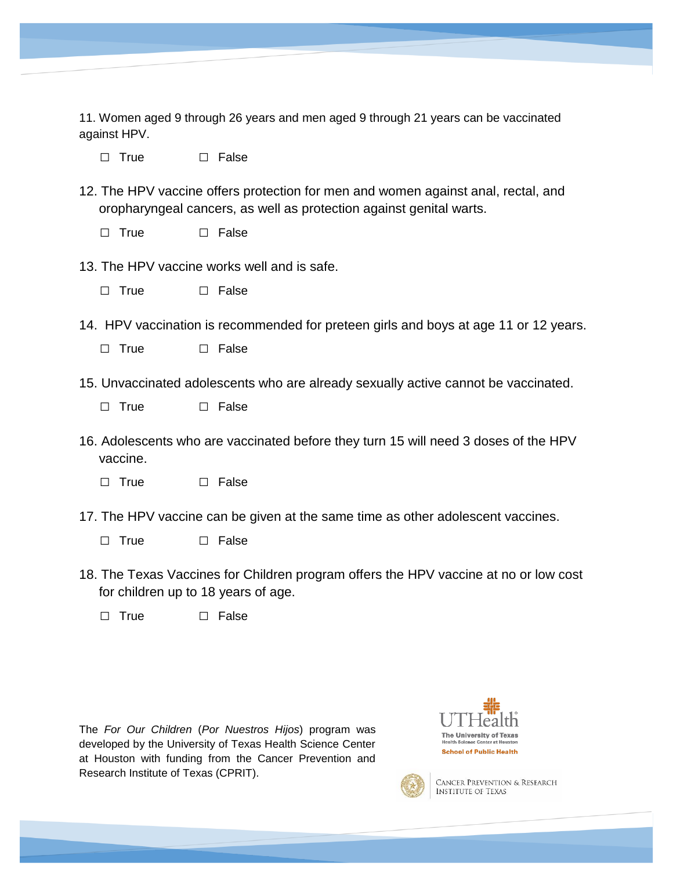11. Women aged 9 through 26 years and men aged 9 through 21 years can be vaccinated against HPV.

□ True □ False

- 12. The HPV vaccine offers protection for men and women against anal, rectal, and oropharyngeal cancers, as well as protection against genital warts.
	- □ True □ False
- 13. The HPV vaccine works well and is safe.
	- □ True □ False
- 14. HPV vaccination is recommended for preteen girls and boys at age 11 or 12 years.
	- □ True □ False
- 15. Unvaccinated adolescents who are already sexually active cannot be vaccinated.
	- □ True □ False
- 16. Adolescents who are vaccinated before they turn 15 will need 3 doses of the HPV vaccine.
	- □ True □ False
- 17. The HPV vaccine can be given at the same time as other adolescent vaccines.
	- □ True □ False
- 18. The Texas Vaccines for Children program offers the HPV vaccine at no or low cost for children up to 18 years of age.
	- □ True □ False

The *For Our Children* (*Por Nuestros Hijos*) program was developed by the University of Texas Health Science Center at Houston with funding from the Cancer Prevention and Research Institute of Texas (CPRIT).





CANCER PREVENTION & RESEARCH **INSTITUTE OF TEXAS**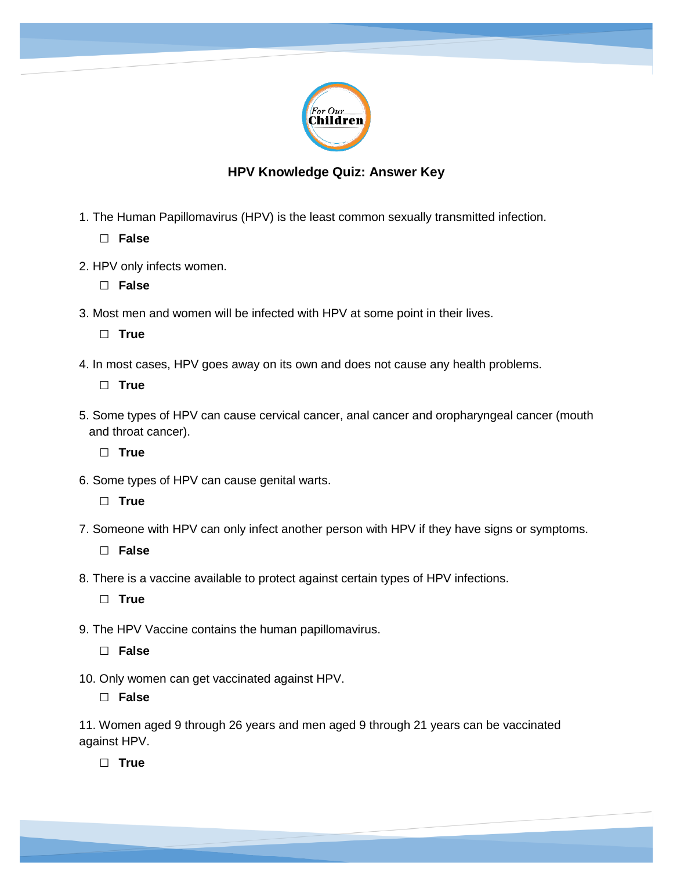

## **HPV Knowledge Quiz: Answer Key**

1. The Human Papillomavirus (HPV) is the least common sexually transmitted infection.

□ **False**

2. HPV only infects women.

□ **False**

3. Most men and women will be infected with HPV at some point in their lives.

□ **True** 

4. In most cases, HPV goes away on its own and does not cause any health problems.

□ **True** 

5. Some types of HPV can cause cervical cancer, anal cancer and oropharyngeal cancer (mouth and throat cancer).

□ **True** 

6. Some types of HPV can cause genital warts.

□ **True** 

7. Someone with HPV can only infect another person with HPV if they have signs or symptoms.

□ **False**

8. There is a vaccine available to protect against certain types of HPV infections.

□ **True** 

9. The HPV Vaccine contains the human papillomavirus.

□ **False**

10. Only women can get vaccinated against HPV.

□ **False**

11. Women aged 9 through 26 years and men aged 9 through 21 years can be vaccinated against HPV.

□ **True**